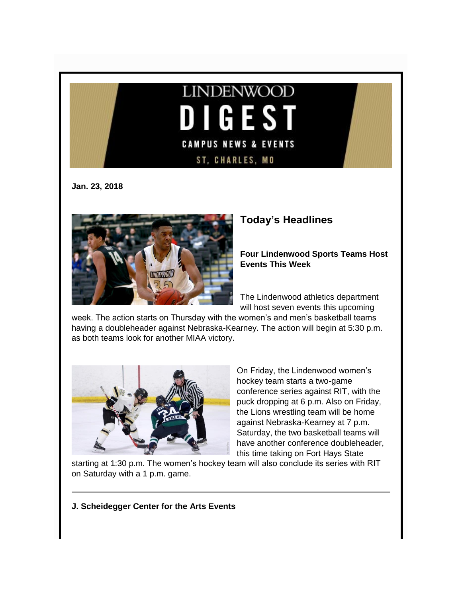

**Jan. 23, 2018**



# **Today's Headlines**

**Four Lindenwood Sports Teams Host Events This Week**

The Lindenwood athletics department will host seven events this upcoming

week. The action starts on Thursday with the women's and men's basketball teams having a doubleheader against Nebraska-Kearney. The action will begin at 5:30 p.m. as both teams look for another MIAA victory.



On Friday, the Lindenwood women's hockey team starts a two-game conference series against RIT, with the puck dropping at 6 p.m. Also on Friday, the Lions wrestling team will be home against Nebraska-Kearney at 7 p.m. Saturday, the two basketball teams will have another conference doubleheader, this time taking on Fort Hays State

starting at 1:30 p.m. The women's hockey team will also conclude its series with RIT on Saturday with a 1 p.m. game.

**J. Scheidegger Center for the Arts Events**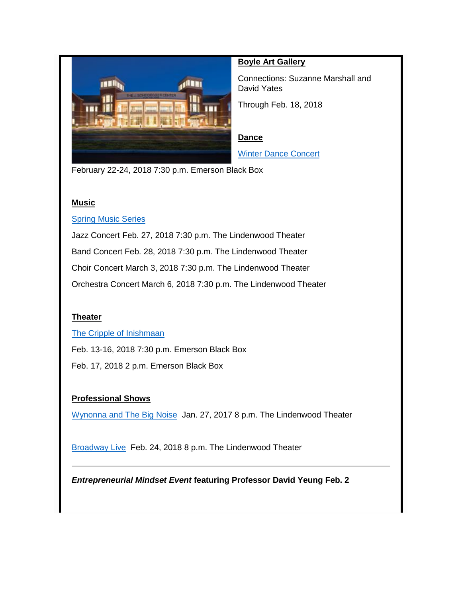

### **Boyle Art Gallery**

Connections: Suzanne Marshall and David Yates

Through Feb. 18, 2018

#### **Dance**

[Winter Dance Concert](http://www.lindenwood.edu/j-scheidegger-center-for-the-arts/upcoming-events/dance/winter-dance-concert/)

February 22-24, 2018 7:30 p.m. Emerson Black Box

#### **Music**

#### **[Spring Music Series](http://www.lindenwood.edu/j-scheidegger-center-for-the-arts/upcoming-events/music/)**

Jazz Concert Feb. 27, 2018 7:30 p.m. The Lindenwood Theater Band Concert Feb. 28, 2018 7:30 p.m. The Lindenwood Theater Choir Concert March 3, 2018 7:30 p.m. The Lindenwood Theater Orchestra Concert March 6, 2018 7:30 p.m. The Lindenwood Theater

#### **Theater**

#### [The Cripple of Inishmaan](http://www.lindenwood.edu/j-scheidegger-center-for-the-arts/upcoming-events/university-theater/the-cripple-of-inishmaan-feb-13-17/)

Feb. 13-16, 2018 7:30 p.m. Emerson Black Box Feb. 17, 2018 2 p.m. Emerson Black Box

#### **Professional Shows**

[Wynonna and The Big Noise](http://www.lindenwood.edu/j-scheidegger-center-for-the-arts/upcoming-events/main-stage-season/wynonna-january-27/) Jan. 27, 2017 8 p.m. The Lindenwood Theater

[Broadway Live](http://www.lindenwood.edu/j-scheidegger-center-for-the-arts/upcoming-events/main-stage-season/broadway-live-februray-24/) Feb. 24, 2018 8 p.m. The Lindenwood Theater

*Entrepreneurial Mindset Event* **featuring Professor David Yeung Feb. 2**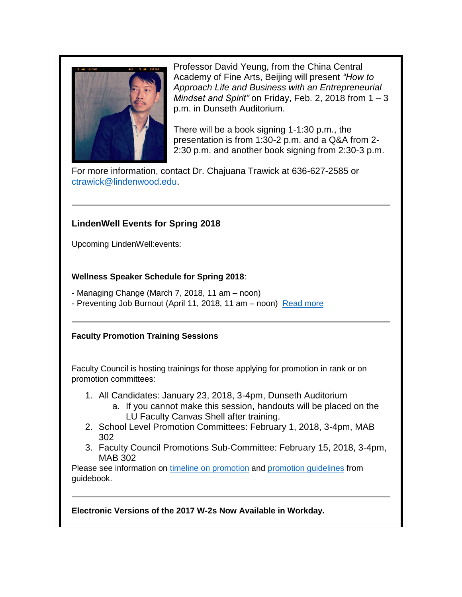

Professor David Yeung, from the China Central Academy of Fine Arts, Beijing will present *"How to Approach Life and Business with an Entrepreneurial Mindset and Spirit"* on Friday, Feb. 2, 2018 from 1 – 3 p.m. in Dunseth Auditorium.

There will be a book signing 1-1:30 p.m., the presentation is from 1:30-2 p.m. and a Q&A from 2- 2:30 p.m. and another book signing from 2:30-3 p.m.

For more information, contact Dr. Chajuana Trawick at 636-627-2585 or [ctrawick@lindenwood.edu.](mailto:ctrawick@lindenwood.edu)

## **LindenWell Events for Spring 2018**

Upcoming LindenWell:events:

### **Wellness Speaker Schedule for Spring 2018**:

- Managing Change (March 7, 2018, 11 am – noon) - Preventing Job Burnout (April 11, 2018, 11 am – noon) [Read more](http://felix.lindenwood.edu/newsletter/2018_01/lindenwell.pdf)

### **Faculty Promotion Training Sessions**

Faculty Council is hosting trainings for those applying for promotion in rank or on promotion committees:

- 1. All Candidates: January 23, 2018, 3-4pm, Dunseth Auditorium
	- a. If you cannot make this session, handouts will be placed on the LU Faculty Canvas Shell after training.
- 2. School Level Promotion Committees: February 1, 2018, 3-4pm, MAB 302
- 3. Faculty Council Promotions Sub-Committee: February 15, 2018, 3-4pm, MAB 302

Please see information on [timeline on promotion](http://felix.lindenwood.edu/newsletter/2018_01/promotiontimeline.pdf) and [promotion guidelines](http://felix.lindenwood.edu/newsletter/2018_01/promotionguidelines.pdf) from guidebook.

**Electronic Versions of the 2017 W-2s Now Available in Workday.**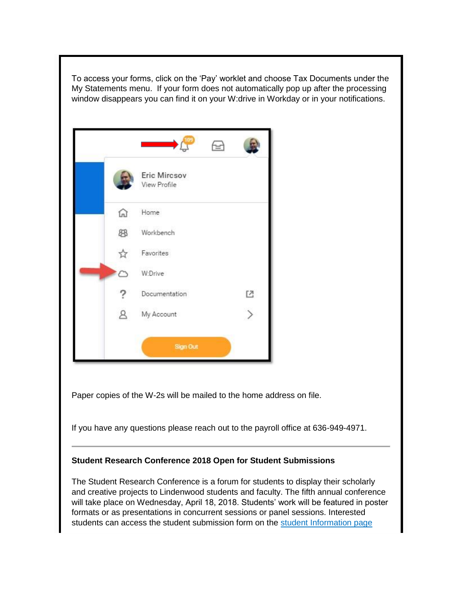

will take place on Wednesday, April 18, 2018. Students' work will be featured in poster formats or as presentations in concurrent sessions or panel sessions. Interested students can access the student submission form on the [student Information page](http://www.lindenwood.edu/academics/beyond-the-classroom/student-research/student-applications/)